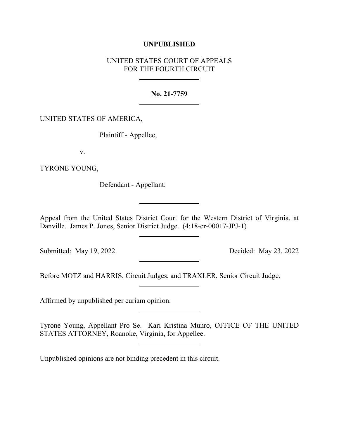## **UNPUBLISHED**

# UNITED STATES COURT OF APPEALS FOR THE FOURTH CIRCUIT

#### **No. 21-7759**

### UNITED STATES OF AMERICA,

Plaintiff - Appellee,

v.

TYRONE YOUNG,

Defendant - Appellant.

Appeal from the United States District Court for the Western District of Virginia, at Danville. James P. Jones, Senior District Judge. (4:18-cr-00017-JPJ-1)

Submitted: May 19, 2022 Decided: May 23, 2022

Before MOTZ and HARRIS, Circuit Judges, and TRAXLER, Senior Circuit Judge.

Affirmed by unpublished per curiam opinion.

Tyrone Young, Appellant Pro Se. Kari Kristina Munro, OFFICE OF THE UNITED STATES ATTORNEY, Roanoke, Virginia, for Appellee.

Unpublished opinions are not binding precedent in this circuit.